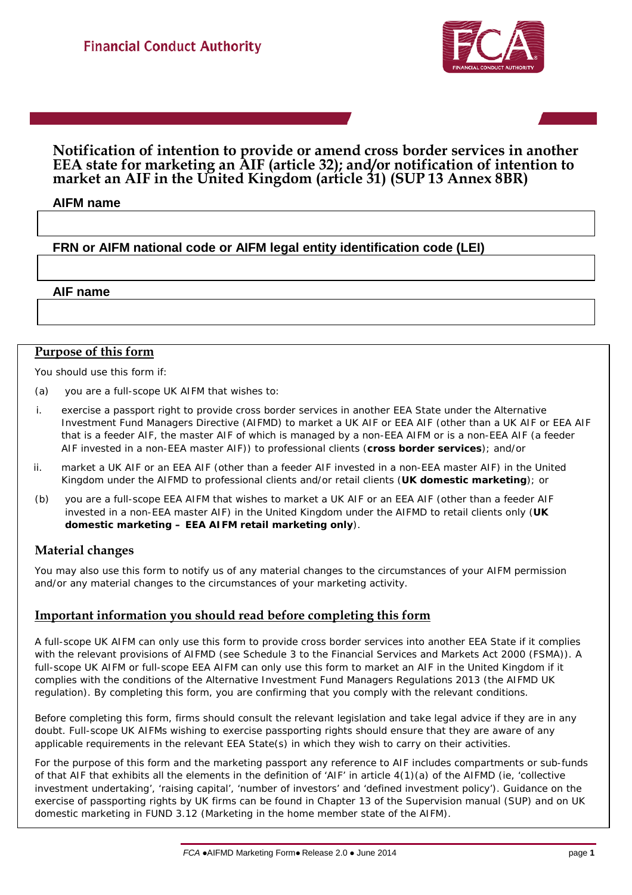

#### **Notification of intention to provide or amend cross border services in another EEA state for marketing an AIF (article 32); and/or notification of intention to market an AIF in the United Kingdom (article 31) (SUP 13 Annex 8BR)**

#### **AIFM name**

### **FRN or AIFM national code or AIFM legal entity identification code (LEI)**

#### **AIF name**

#### **Purpose of this form**

You should use this form if:

- (a) you are a *full-scope UK AIFM* that wishes to:
- i. exercise a passport right to provide c*ross border services* in another *EEA State* under the Alternative Investment Fund Managers Directive (*AIFMD*) to market a *UK AIF* or *EEA AIF (*other than a *UK AIF* or *EEA AIF*  that is a *feeder AIF,* the *master AIF* of which is managed by a *non-EEA AIFM* or is a *non-EEA AIF (a feeder AIF invested in a non-EEA master AIF))* to *professional clients* (**cross border services**); and/or
- ii. *market* a *UK AIF* or an *EEA AIF (*other than a *feeder AIF invested in a non-EEA master AIF)* in the *United Kingdom* under the AIFMD to *professional clients* and/or *retail clients* (**UK domestic marketing**); or
- (b) you are a *full-scope EEA AIFM* that wishes to *market* a *UK AIF* or an *EEA AIF (*other than a *feeder AIF invested in a non-EEA master AIF)* in the *United Kingdom* under the AIFMD to *retail clients* only (**UK domestic marketing – EEA AIFM retail marketing only**).

#### **Material changes**

You may also use this form to notify us of any material changes to the circumstances of your AIFM permission and/or any material changes to the circumstances of your marketing activity.

#### **Important information you should read before completing this form**

A *full-scope UK AIFM* can only use this form to provide *cross border services* into another *EEA State* if it complies with the relevant provisions of *AIFMD* (see Schedule 3 to the Financial Services and Markets Act 2000 (FSMA)). A *full-scope UK AIFM* or *full-scope EEA AIFM* can only use this form to market an *AIF* in the *United Kingdom* if it complies with the conditions of the Alternative Investment Fund Managers Regulations 2013 (the *AIFMD UK regulation*). By completing this form, you are confirming that you comply with the relevant conditions.

Before completing this form, firms should consult the relevant legislation and take legal advice if they are in any doubt. *Full-scope UK AIFMs* wishing to exercise passporting rights should ensure that they are aware of any applicable requirements in the relevant *EEA State(s)* in which they wish to carry on their activities.

For the purpose of this form and the marketing passport any reference to AIF includes compartments or sub-funds of that AIF that exhibits all the elements in the definition of 'AIF' in article 4(1)(a) of the AIFMD (ie, 'collective investment undertaking', 'raising capital', 'number of investors' and 'defined investment policy'). Guidance on the exercise of passporting rights by *UK firms* can be found in Chapter 13 of the Supervision manual (SUP) and on UK domestic marketing in FUND 3.12 (Marketing in the home member state of the *AIFM*).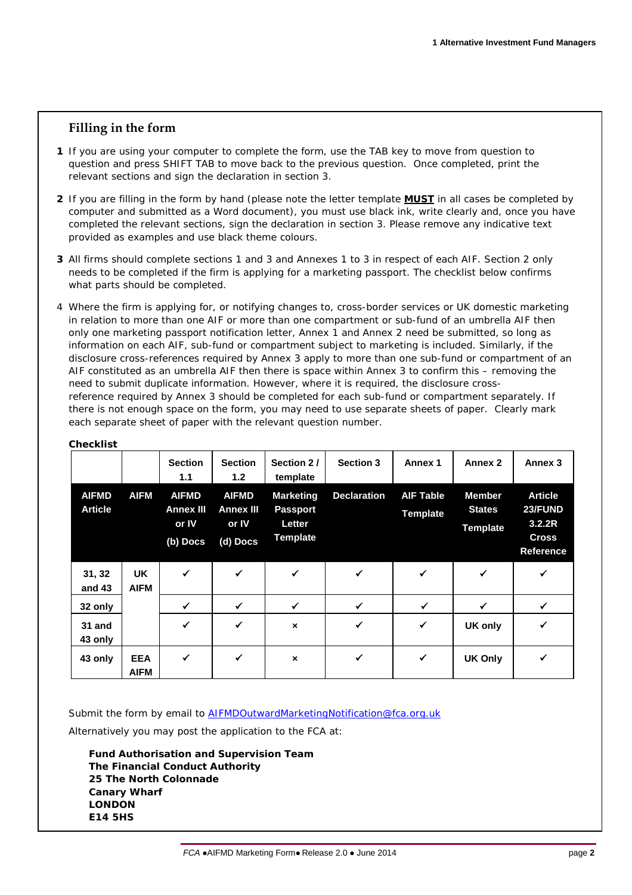#### **Filling in the form**

- **1** If you are using your computer to complete the form, use the TAB key to move from question to question and press SHIFT TAB to move back to the previous question. Once completed, print the relevant sections and sign the declaration in section 3.
- **2** If you are filling in the form by hand (please note the letter template **MUST** in all cases be completed by computer and submitted as a Word document), you must use black ink, write clearly and, once you have completed the relevant sections, sign the declaration in section 3. Please remove any indicative text provided as examples and use black theme colours.
- **3** All firms should complete sections 1 and 3 and Annexes 1 to 3 in respect of each AIF. Section 2 only needs to be completed if the firm is applying for a marketing passport. The checklist below confirms what parts should be completed.
- 4 Where the firm is applying for, or notifying changes to, cross-border services or UK domestic marketing in relation to more than one AIF or more than one compartment or sub-fund of an umbrella AIF then only one marketing passport notification letter, Annex 1 and Annex 2 need be submitted, so long as information on each AIF, sub-fund or compartment subject to marketing is included. Similarly, if the disclosure cross-references required by Annex 3 apply to more than one sub-fund or compartment of an AIF constituted as an umbrella AIF then there is space within Annex 3 to confirm this – removing the need to submit duplicate information. However, where it is required, the disclosure crossreference required by Annex 3 should be completed for each sub-fund or compartment separately. If there is not enough space on the form, you may need to use separate sheets of paper. Clearly mark each separate sheet of paper with the relevant question number.

|                                |                           | <b>Section</b><br>1.1                                   | <b>Section</b><br>1.2                                 | Section 2/<br>template                                           | <b>Section 3</b>   | Annex 1                             | Annex 2                                           | Annex 3                                                                 |
|--------------------------------|---------------------------|---------------------------------------------------------|-------------------------------------------------------|------------------------------------------------------------------|--------------------|-------------------------------------|---------------------------------------------------|-------------------------------------------------------------------------|
| <b>AIFMD</b><br><b>Article</b> | <b>AIFM</b>               | <b>AIFMD</b><br><b>Annex III</b><br>or IV<br>$(b)$ Docs | <b>AIFMD</b><br><b>Annex III</b><br>or IV<br>(d) Docs | <b>Marketing</b><br><b>Passport</b><br>Letter<br><b>Template</b> | <b>Declaration</b> | <b>AIF Table</b><br><b>Template</b> | <b>Member</b><br><b>States</b><br><b>Template</b> | <b>Article</b><br>23/FUND<br>3.2.2R<br><b>Cross</b><br><b>Reference</b> |
| 31, 32<br>and 43               | <b>UK</b><br><b>AIFM</b>  | $\checkmark$                                            | $\checkmark$                                          | $\checkmark$                                                     | $\checkmark$       | $\checkmark$                        | $\checkmark$                                      | ✓                                                                       |
| 32 only                        |                           | $\checkmark$                                            | $\checkmark$                                          | $\checkmark$                                                     | $\checkmark$       | $\checkmark$                        | ✓                                                 | ✓                                                                       |
| 31 and<br>43 only              |                           | $\checkmark$                                            | ✓                                                     | $\boldsymbol{\mathsf{x}}$                                        | √                  | $\checkmark$                        | UK only                                           | √                                                                       |
| 43 only                        | <b>EEA</b><br><b>AIFM</b> | $\checkmark$                                            | $\checkmark$                                          | $\boldsymbol{\mathsf{x}}$                                        | $\checkmark$       | $\checkmark$                        | <b>UK Only</b>                                    | ✓                                                                       |

#### **Checklist**

Submit the form by email to **AIFMDOutwardMarketingNotification@fca.org.uk** 

Alternatively you may post the application to the FCA at:

**Fund Authorisation and Supervision Team The Financial Conduct Authority 25 The North Colonnade Canary Wharf LONDON E14 5HS**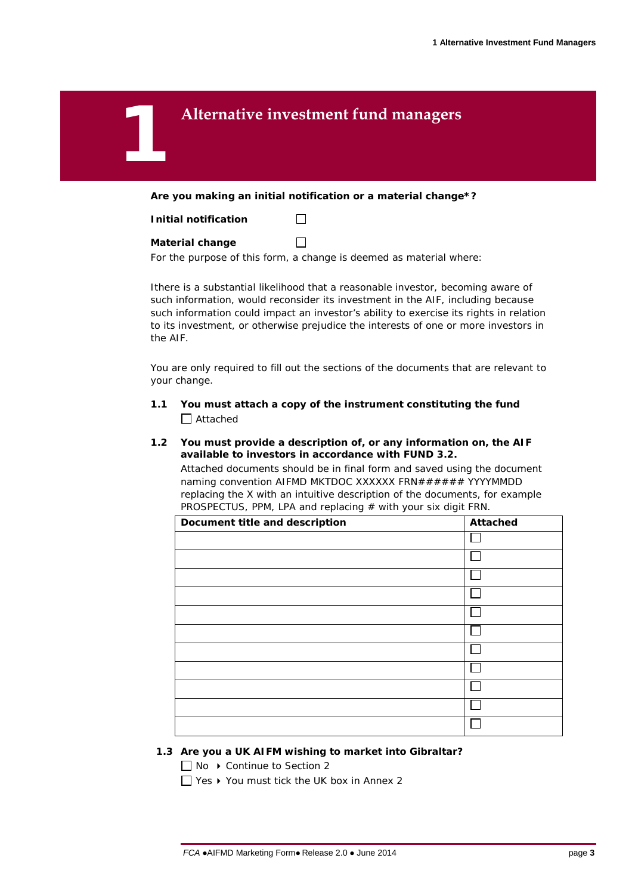## 1 **Alternative investment fund managers**

**Are you making an initial notification or a material change\*?**

 $\Box$ 

 $\Box$ 

#### **Material change**

For the purpose of this form, a change is deemed as material where:

Ithere is a substantial likelihood that a reasonable investor, becoming aware of such information, would reconsider its investment in the AIF, including because such information could impact an investor's ability to exercise its rights in relation to its investment, or otherwise prejudice the interests of one or more investors in the AIF.

You are only required to fill out the sections of the documents that are relevant to your change.

- **1.1 You must attach a copy of the instrument constituting the fund** □ Attached
- **1.2 You must provide a description of, or any information on, the AIF available to investors in accordance with FUND 3.2.** Attached documents should be in final form and saved using the document

naming convention AIFMD MKTDOC XXXXXX FRN###### YYYYMMDD replacing the X with an intuitive description of the documents, for example PROSPECTUS, PPM, LPA and replacing  $#$  with your six digit FRN.

| Document title and description | Attached |
|--------------------------------|----------|
|                                |          |
|                                |          |
|                                |          |
|                                |          |
|                                |          |
|                                |          |
|                                |          |
|                                |          |
|                                |          |
|                                |          |
|                                |          |

#### **1.3 Are you a UK AIFM wishing to market into Gibraltar?**

□ No ▶ Continue to Section 2

 $\Box$  Yes  $\blacktriangleright$  You must tick the UK box in Annex 2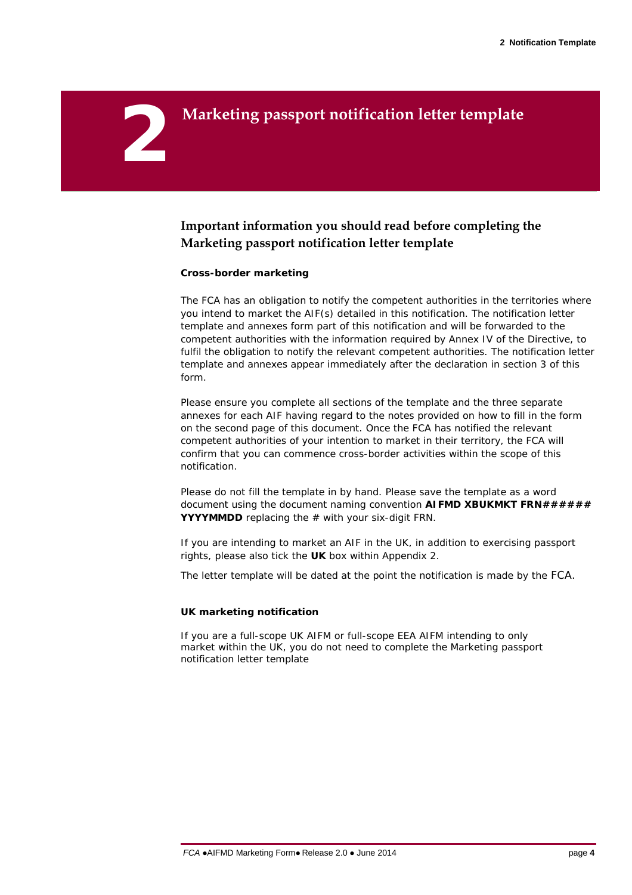## 2 **Marketing passport notification letter template**

## **Important information you should read before completing the Marketing passport notification letter template**

#### **Cross-border marketing**

The FCA has an obligation to notify the competent authorities in the territories where you intend to market the AIF(s) detailed in this notification. The notification letter template and annexes form part of this notification and will be forwarded to the competent authorities with the information required by Annex IV of the Directive, to fulfil the obligation to notify the relevant competent authorities. The notification letter template and annexes appear immediately after the declaration in section 3 of this form.

Please ensure you complete all sections of the template and the three separate annexes for each AIF having regard to the notes provided on how to fill in the form on the second page of this document. Once the FCA has notified the relevant competent authorities of your intention to market in their territory, the FCA will confirm that you can commence cross-border activities within the scope of this notification.

Please do not fill the template in by hand. Please save the template as a word document using the document naming convention **AIFMD XBUKMKT FRN###### YYYYMMDD** replacing the # with your six-digit FRN.

If you are intending to market an AIF in the UK, in addition to exercising passport rights, please also tick the **UK** box within Appendix 2.

The letter template will be dated at the point the notification is made by the FCA.

#### **UK marketing notification**

If you are a full-scope UK AIFM or full-scope EEA AIFM intending to only market within the UK, you do not need to complete the Marketing passport notification letter template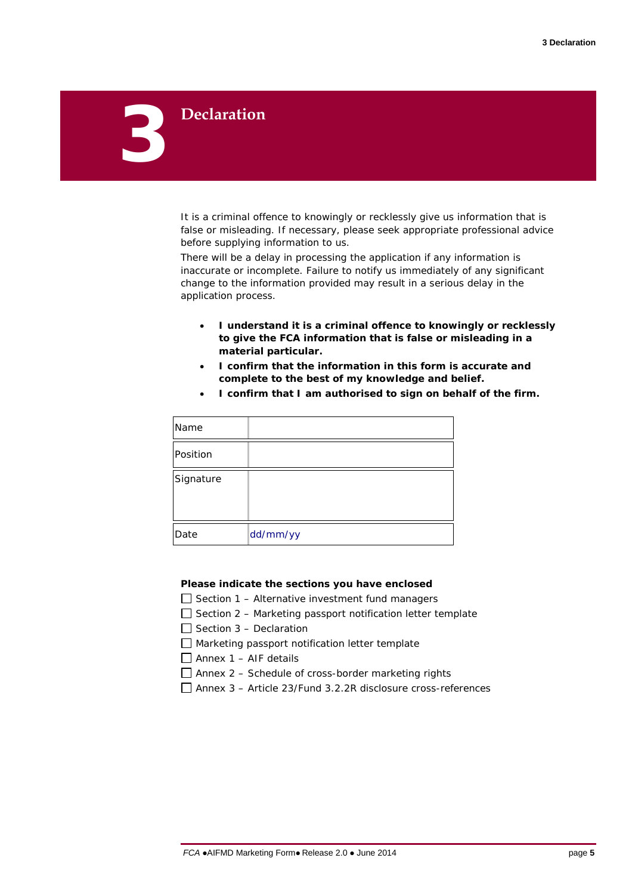# 3 **Declaration**

## It is a criminal offence to knowingly or recklessly give us information that is false or misleading. If necessary, please seek appropriate professional advice

There will be a delay in processing the application if any information is inaccurate or incomplete. Failure to notify us immediately of any significant change to the information provided may result in a serious delay in the application process.

- **I understand it is a criminal offence to knowingly or recklessly to give the FCA information that is false or misleading in a material particular.**
- **I confirm that the information in this form is accurate and complete to the best of my knowledge and belief.**

| Name      |          |
|-----------|----------|
| Position  |          |
| Signature |          |
| Date      | dd/mm/yy |

before supplying information to us.

• **I confirm that I am authorised to sign on behalf of the firm.**

#### **Please indicate the sections you have enclosed**

- $\Box$  Section 1 Alternative investment fund managers
- $\Box$  Section 2 Marketing passport notification letter template
- $\Box$  Section 3 Declaration
- $\Box$  Marketing passport notification letter template
- $\Box$  Annex 1 AIF details
- $\Box$  Annex 2 Schedule of cross-border marketing rights
- Annex 3 Article 23/Fund 3.2.2R disclosure cross-references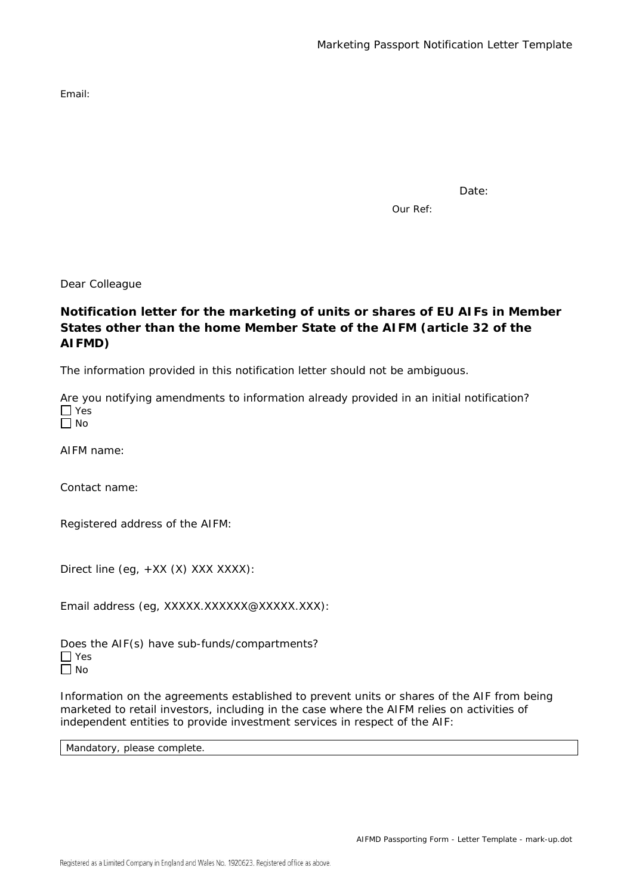Email:

Date:

Our Ref:

Dear Colleague

#### **Notification letter for the marketing of units or shares of EU AIFs in Member States other than the home Member State of the AIFM (article 32 of the AIFMD)**

The information provided in this notification letter should not be ambiguous.

Are you notifying amendments to information already provided in an initial notification?  $\Box$  Yes

| $\sim$ |
|--------|
|--------|

AIFM name:

Contact name:

Registered address of the AIFM:

Direct line (eg, +XX (X) XXX XXXX):

Email address (eg, XXXXX.XXXXXX@XXXXX.XXX):

Does the AIF(s) have sub-funds/compartments? □ Yes  $\Box$  No

Information on the agreements established to prevent units or shares of the AIF from being marketed to retail investors, including in the case where the AIFM relies on activities of independent entities to provide investment services in respect of the AIF:

Mandatory, please complete.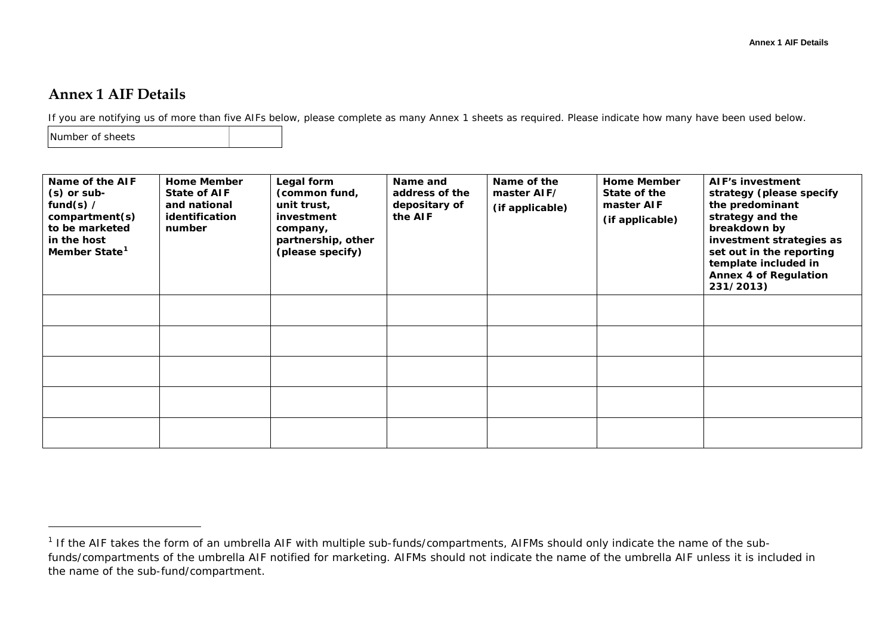## **Annex 1 AIF Details**

If you are notifying us of more than five AIFs below, please complete as many Annex 1 sheets as required. Please indicate how many have been used below.

Number of sheets

-

| Name of the AIF<br>$(s)$ or sub-<br>fund(s) $/$<br>compartment(s)<br>to be marketed<br>in the host<br>Member State <sup>1</sup> | <b>Home Member</b><br><b>State of AIF</b><br>and national<br>identification<br>number | Legal form<br>(common fund,<br>unit trust,<br>investment<br>company,<br>partnership, other<br>(please specify) | Name and<br>address of the<br>depositary of<br>the AIF | Name of the<br>master AIF/<br>(if applicable) | <b>Home Member</b><br>State of the<br>master AIF<br>(if applicable) | AIF's investment<br>strategy (please specify<br>the predominant<br>strategy and the<br>breakdown by<br>investment strategies as<br>set out in the reporting<br>template included in<br><b>Annex 4 of Regulation</b><br>231/2013) |
|---------------------------------------------------------------------------------------------------------------------------------|---------------------------------------------------------------------------------------|----------------------------------------------------------------------------------------------------------------|--------------------------------------------------------|-----------------------------------------------|---------------------------------------------------------------------|----------------------------------------------------------------------------------------------------------------------------------------------------------------------------------------------------------------------------------|
|                                                                                                                                 |                                                                                       |                                                                                                                |                                                        |                                               |                                                                     |                                                                                                                                                                                                                                  |
|                                                                                                                                 |                                                                                       |                                                                                                                |                                                        |                                               |                                                                     |                                                                                                                                                                                                                                  |
|                                                                                                                                 |                                                                                       |                                                                                                                |                                                        |                                               |                                                                     |                                                                                                                                                                                                                                  |
|                                                                                                                                 |                                                                                       |                                                                                                                |                                                        |                                               |                                                                     |                                                                                                                                                                                                                                  |
|                                                                                                                                 |                                                                                       |                                                                                                                |                                                        |                                               |                                                                     |                                                                                                                                                                                                                                  |

 $1$  If the AIF takes the form of an umbrella AIF with multiple sub-funds/compartments, AIFMs should only indicate the name of the subfunds/compartments of the umbrella AIF notified for marketing. AIFMs should not indicate the name of the umbrella AIF unless it is included in the name of the sub-fund/compartment.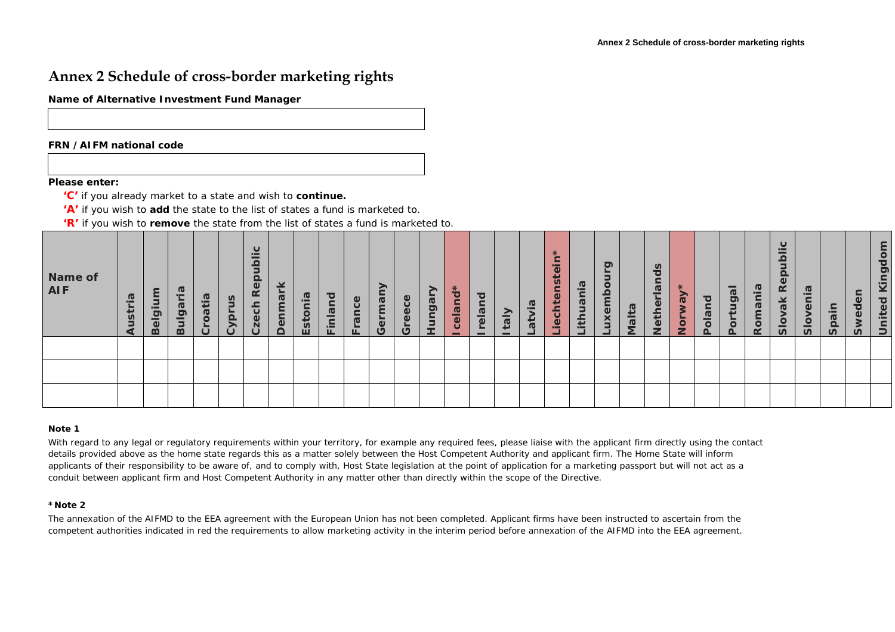## **Annex 2 Schedule of cross-border marketing rights**

**Name of Alternative Investment Fund Manager**

#### **FRN /AIFM national code**

#### **Please enter:**

- **'C'** if you already market to a state and wish to **continue.**
- **'A'** if you wish to **add** the state to the list of states a fund is marketed to.
- **'R'** if you wish to **remove** the state from the list of states a fund is marketed to.

| Name of<br><b>AIF</b> | $\sigma$<br>ত | j<br><u>ចា</u> | <b>G</b><br>$-$<br>lga<br>മ | $\overline{a}$<br>jat | $\tilde{\mathbf{a}}$<br>$\sqrt{2}$ | ပ<br>으<br>$\omega$<br>$\alpha$ | g<br>$\mathbf{\Omega}$ | $\overline{a}$ .<br>Esto | $\overline{\mathbf{o}}$<br>ā<br>Ē<br>$\blacksquare$<br>ட | Φ<br>ā | ↗<br>σ | $\mathbf{\omega}$<br>$\circ$<br>$\omega$<br>(5) | ➢<br>ngar | $\star$<br>eland | ত<br>elar | ≏<br>$\boldsymbol{\sigma}$ | ⊷ | ж.<br>$\overline{\phantom{0}}$<br>≃<br>$\bullet$<br>سيد<br>$\boldsymbol{\omega}$<br>$\mathbf{\Phi}$<br>iect | ത<br>thu | ත<br>≏ | $\boldsymbol{\varpi}$<br>-<br>$\sigma$ | n<br>∓ | $\mathcal{R}$<br>$\circ$<br>5 | pq<br>$\sigma$<br>$\overline{\bullet}$ | −<br>$\boldsymbol{\varpi}$<br>ō,<br>$\circ$ | $\boldsymbol{\varpi}$<br>g<br>œ | ပ<br>-<br>$\mathbf{\Omega}$<br>R.<br>ăk<br>$rac{1}{2}$ | $\boldsymbol{\varpi}$<br>$\bar{v}$ | 크.<br><u>န</u> | $\mathbf{\Omega}$<br>ທ | $\overline{\mathsf{d}}$<br>ටා<br>ਠ<br>$\mathbf{\Omega}$<br>$\equiv$ |
|-----------------------|---------------|----------------|-----------------------------|-----------------------|------------------------------------|--------------------------------|------------------------|--------------------------|----------------------------------------------------------|--------|--------|-------------------------------------------------|-----------|------------------|-----------|----------------------------|---|-------------------------------------------------------------------------------------------------------------|----------|--------|----------------------------------------|--------|-------------------------------|----------------------------------------|---------------------------------------------|---------------------------------|--------------------------------------------------------|------------------------------------|----------------|------------------------|---------------------------------------------------------------------|
|                       |               |                |                             |                       |                                    |                                |                        |                          |                                                          |        |        |                                                 |           |                  |           |                            |   |                                                                                                             |          |        |                                        |        |                               |                                        |                                             |                                 |                                                        |                                    |                |                        |                                                                     |
|                       |               |                |                             |                       |                                    |                                |                        |                          |                                                          |        |        |                                                 |           |                  |           |                            |   |                                                                                                             |          |        |                                        |        |                               |                                        |                                             |                                 |                                                        |                                    |                |                        |                                                                     |
|                       |               |                |                             |                       |                                    |                                |                        |                          |                                                          |        |        |                                                 |           |                  |           |                            |   |                                                                                                             |          |        |                                        |        |                               |                                        |                                             |                                 |                                                        |                                    |                |                        |                                                                     |

#### **Note 1**

With regard to any legal or regulatory requirements within your territory, for example any required fees, please liaise with the applicant firm directly using the contact details provided above as the home state regards this as a matter solely between the Host Competent Authority and applicant firm. The Home State will inform applicants of their responsibility to be aware of, and to comply with, Host State legislation at the point of application for a marketing passport but will not act as a conduit between applicant firm and Host Competent Authority in any matter other than directly within the scope of the Directive.

#### **\*Note 2**

The annexation of the AIFMD to the EEA agreement with the European Union has not been completed. Applicant firms have been instructed to ascertain from the competent authorities indicated in red the requirements to allow marketing activity in the interim period before annexation of the AIFMD into the EEA agreement.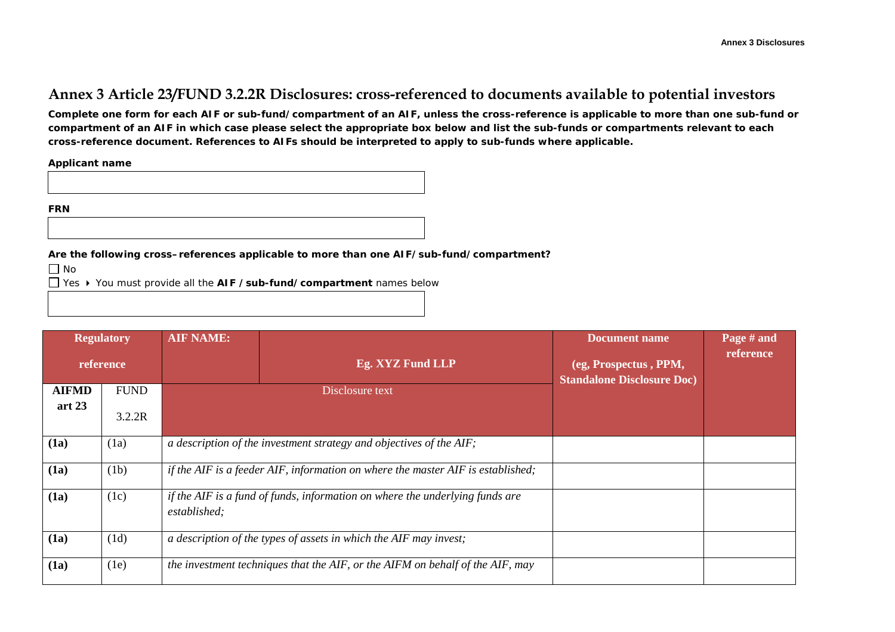## **Annex 3 Article 23/FUND 3.2.2R Disclosures: cross-referenced to documents available to potential investors**

**Complete one form for each AIF or sub-fund/compartment of an AIF, unless the cross-reference is applicable to more than one sub-fund or compartment of an AIF in which case please select the appropriate box below and list the sub-funds or compartments relevant to each cross-reference document. References to AIFs should be interpreted to apply to sub-funds where applicable.**

**Applicant name**

**FRN**

**Are the following cross–references applicable to more than one AIF/sub-fund/compartment?**

No

Yes You must provide all the **AIF /sub-fund/compartment** names below

|              | <b>Regulatory</b><br>reference | <b>AIF NAME:</b> | Eg. XYZ Fund LLP                                                                | <b>Document name</b><br>(eg, Prospectus, PPM, | Page # and<br>reference |  |  |
|--------------|--------------------------------|------------------|---------------------------------------------------------------------------------|-----------------------------------------------|-------------------------|--|--|
| <b>AIFMD</b> | <b>FUND</b>                    |                  | Disclosure text                                                                 | <b>Standalone Disclosure Doc)</b>             |                         |  |  |
| art $23$     | 3.2.2R                         |                  |                                                                                 |                                               |                         |  |  |
| (1a)         | (1a)                           |                  | a description of the investment strategy and objectives of the AIF;             |                                               |                         |  |  |
| (1a)         | (1b)                           |                  | if the AIF is a feeder AIF, information on where the master AIF is established; |                                               |                         |  |  |
| (1a)         | (1c)                           | established;     | if the AIF is a fund of funds, information on where the underlying funds are    |                                               |                         |  |  |
| (1a)         | (1d)                           |                  | a description of the types of assets in which the AIF may invest;               |                                               |                         |  |  |
| (1a)         | (1e)                           |                  | the investment techniques that the AIF, or the AIFM on behalf of the AIF, may   |                                               |                         |  |  |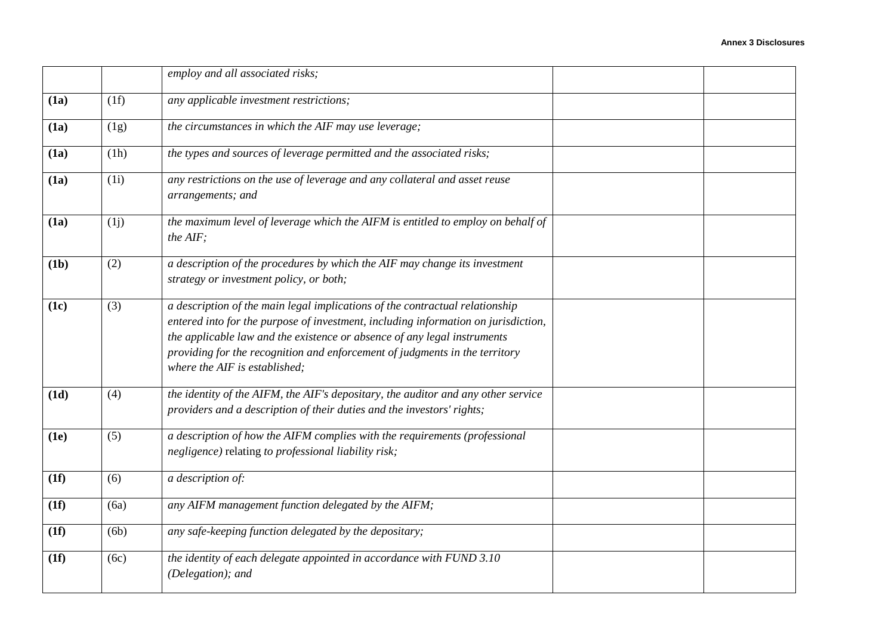|      |      | employ and all associated risks;                                                                                                                                                                                                                                                                                                                               |  |
|------|------|----------------------------------------------------------------------------------------------------------------------------------------------------------------------------------------------------------------------------------------------------------------------------------------------------------------------------------------------------------------|--|
| (1a) | (1f) | any applicable investment restrictions;                                                                                                                                                                                                                                                                                                                        |  |
| (1a) | (1g) | the circumstances in which the AIF may use leverage;                                                                                                                                                                                                                                                                                                           |  |
| (1a) | (1h) | the types and sources of leverage permitted and the associated risks;                                                                                                                                                                                                                                                                                          |  |
| (1a) | (1i) | any restrictions on the use of leverage and any collateral and asset reuse<br>arrangements; and                                                                                                                                                                                                                                                                |  |
| (1a) | (1j) | the maximum level of leverage which the AIFM is entitled to employ on behalf of<br>the AIF;                                                                                                                                                                                                                                                                    |  |
| (1b) | (2)  | a description of the procedures by which the AIF may change its investment<br>strategy or investment policy, or both;                                                                                                                                                                                                                                          |  |
| (1c) | (3)  | a description of the main legal implications of the contractual relationship<br>entered into for the purpose of investment, including information on jurisdiction,<br>the applicable law and the existence or absence of any legal instruments<br>providing for the recognition and enforcement of judgments in the territory<br>where the AIF is established; |  |
| (1d) | (4)  | the identity of the AIFM, the AIF's depositary, the auditor and any other service<br>providers and a description of their duties and the investors' rights;                                                                                                                                                                                                    |  |
| (1e) | (5)  | a description of how the AIFM complies with the requirements (professional<br>negligence) relating to professional liability risk;                                                                                                                                                                                                                             |  |
| (1f) | (6)  | a description of:                                                                                                                                                                                                                                                                                                                                              |  |
| (1f) | (6a) | any AIFM management function delegated by the AIFM;                                                                                                                                                                                                                                                                                                            |  |
| (1f) | (6b) | any safe-keeping function delegated by the depositary;                                                                                                                                                                                                                                                                                                         |  |
| (1f) | (6c) | the identity of each delegate appointed in accordance with FUND 3.10<br>(Delegation); and                                                                                                                                                                                                                                                                      |  |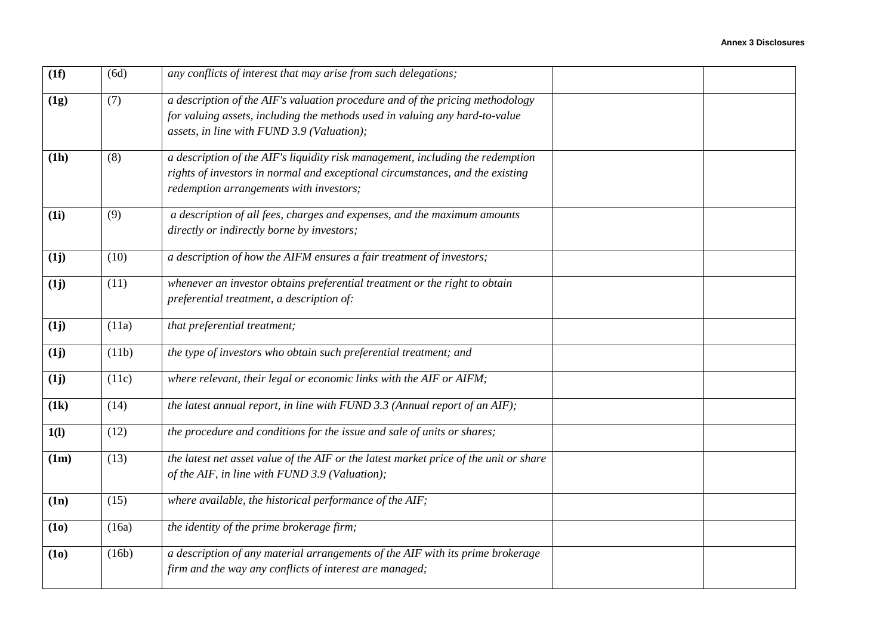| (1f)              | (6d)  | any conflicts of interest that may arise from such delegations;                                                                                                                                            |  |
|-------------------|-------|------------------------------------------------------------------------------------------------------------------------------------------------------------------------------------------------------------|--|
| (1g)              | (7)   | a description of the AIF's valuation procedure and of the pricing methodology<br>for valuing assets, including the methods used in valuing any hard-to-value<br>assets, in line with FUND 3.9 (Valuation); |  |
| (1h)              | (8)   | a description of the AIF's liquidity risk management, including the redemption<br>rights of investors in normal and exceptional circumstances, and the existing<br>redemption arrangements with investors; |  |
| (1i)              | (9)   | a description of all fees, charges and expenses, and the maximum amounts<br>directly or indirectly borne by investors;                                                                                     |  |
| (1j)              | (10)  | a description of how the AIFM ensures a fair treatment of investors;                                                                                                                                       |  |
| (1j)              | (11)  | whenever an investor obtains preferential treatment or the right to obtain<br>preferential treatment, a description of:                                                                                    |  |
| (1j)              | (11a) | that preferential treatment;                                                                                                                                                                               |  |
| (1j)              | (11b) | the type of investors who obtain such preferential treatment; and                                                                                                                                          |  |
| (1j)              | (11c) | where relevant, their legal or economic links with the AIF or AIFM;                                                                                                                                        |  |
| (1k)              | (14)  | the latest annual report, in line with FUND 3.3 (Annual report of an AIF);                                                                                                                                 |  |
| 1(1)              | (12)  | the procedure and conditions for the issue and sale of units or shares;                                                                                                                                    |  |
| (1m)              | (13)  | the latest net asset value of the AIF or the latest market price of the unit or share<br>of the AIF, in line with FUND 3.9 (Valuation);                                                                    |  |
| (1n)              | (15)  | where available, the historical performance of the AIF;                                                                                                                                                    |  |
| (1 <sub>0</sub> ) | (16a) | the identity of the prime brokerage firm;                                                                                                                                                                  |  |
| (1o)              | (16b) | a description of any material arrangements of the AIF with its prime brokerage<br>firm and the way any conflicts of interest are managed;                                                                  |  |